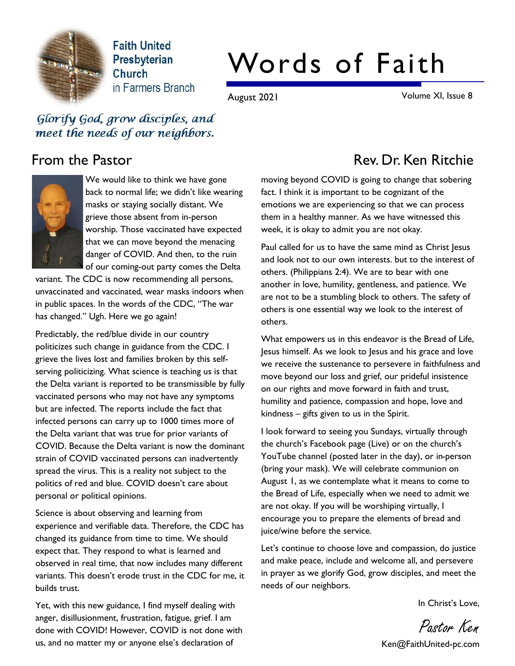

**Faith United** Presbyterian Church in Farmers Branch

# Words of Faith

August 2021 Volume XI, Issue 8

Glorify God, grow disciples, and meet the needs of our neighbors.



We would like to think we have gone back to normal life; we didn't like wearing masks or staying socially distant. We grieve those absent from in-person worship. Those vaccinated have expected that we can move beyond the menacing danger of COVID. And then, to the ruin of our coming-out party comes the Delta

variant. The CDC is now recommending all persons, unvaccinated and vaccinated, wear masks indoors when in public spaces. In the words of the CDC, "The war has changed." Ugh. Here we go again!

Predictably, the red/blue divide in our country politicizes such change in guidance from the CDC. I grieve the lives lost and families broken by this selfserving politicizing. What science is teaching us is that the Delta variant is reported to be transmissible by fully vaccinated persons who may not have any symptoms but are infected. The reports include the fact that infected persons can carry up to 1000 times more of the Delta variant that was true for prior variants of COVID. Because the Delta variant is now the dominant strain of COVID vaccinated persons can inadvertently spread the virus. This is a reality not subject to the politics of red and blue. COVID doesn't care about personal or political opinions.

Science is about observing and learning from experience and verifiable data. Therefore, the CDC has changed its guidance from time to time. We should expect that. They respond to what is learned and observed in real time, that now includes many different variants. This doesn't erode trust in the CDC for me, it builds trust.

Yet, with this new guidance, I find myself dealing with anger, disillusionment, frustration, fatigue, grief. I am done with COVID! However, COVID is not done with us, and no matter my or anyone else's declaration of

# From the Pastor **Rev. Dr. Ken Ritchie**

moving beyond COVID is going to change that sobering fact. I think it is important to be cognizant of the emotions we are experiencing so that we can process them in a healthy manner. As we have witnessed this week, it is okay to admit you are not okay.

Paul called for us to have the same mind as Christ Jesus and look not to our own interests. but to the interest of others. (Philippians 2:4). We are to bear with one another in love, humility, gentleness, and patience. We are not to be a stumbling block to others. The safety of others is one essential way we look to the interest of others.

What empowers us in this endeavor is the Bread of Life, Jesus himself. As we look to Jesus and his grace and love we receive the sustenance to persevere in faithfulness and move beyond our loss and grief, our prideful insistence on our rights and move forward in faith and trust, humility and patience, compassion and hope, love and kindness – gifts given to us in the Spirit.

I look forward to seeing you Sundays, virtually through the church's Facebook page (Live) or on the church's YouTube channel (posted later in the day), or in-person (bring your mask). We will celebrate communion on August 1, as we contemplate what it means to come to the Bread of Life, especially when we need to admit we are not okay. If you will be worshiping virtually, I encourage you to prepare the elements of bread and juice/wine before the service.

Let's continue to choose love and compassion, do justice and make peace, include and welcome all, and persevere in prayer as we glorify God, grow disciples, and meet the needs of our neighbors.

In Christ's Love,

Pastor Ken

Ken@FaithUnited-pc.com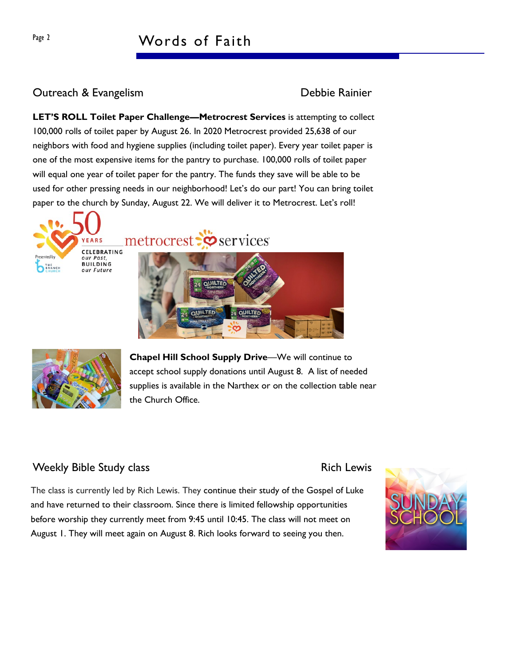## Page 2 Words of Faith

### Outreach & Evangelism Debbie Rainier

LET'S ROLL Toilet Paper Challenge—Metrocrest Services is attempting to collect 100,000 rolls of toilet paper by August 26. In 2020 Metrocrest provided 25,638 of our neighbors with food and hygiene supplies (including toilet paper). Every year toilet paper is one of the most expensive items for the pantry to purchase. 100,000 rolls of toilet paper will equal one year of toilet paper for the pantry. The funds they save will be able to be used for other pressing needs in our neighborhood! Let's do our part! You can bring toilet paper to the church by Sunday, August 22. We will deliver it to Metrocrest. Let's roll!



metrocrest: So services





Chapel Hill School Supply Drive—We will continue to accept school supply donations until August 8. A list of needed supplies is available in the Narthex or on the collection table near the Church Office.

### Weekly Bible Study class **Rich Lewis** Rich Lewis

The class is currently led by Rich Lewis. They continue their study of the Gospel of Luke and have returned to their classroom. Since there is limited fellowship opportunities before worship they currently meet from 9:45 until 10:45. The class will not meet on August 1. They will meet again on August 8. Rich looks forward to seeing you then.

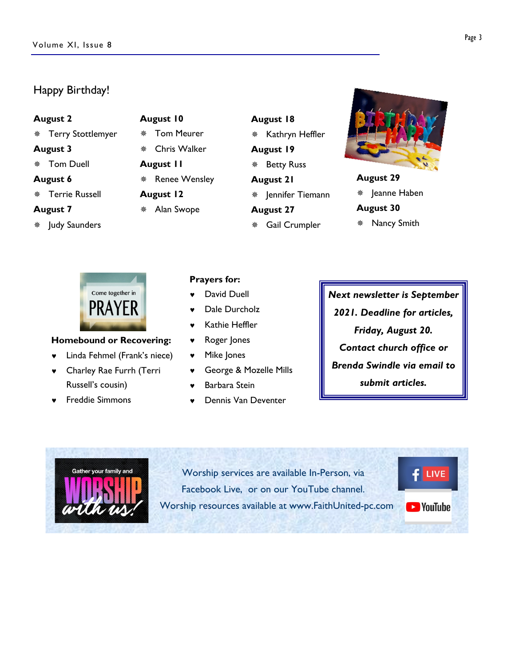#### Happy Birthday!

#### August 2

- ¯ Terry Stottlemyer
- August 3
- ¯ Tom Duell
- August 6
- ¯ Terrie Russell

#### August 7

\* Judy Saunders

# August 10

- ¯ Tom Meurer Chris Walker August 11 \* Renee Wensley August 12 \* Alan Swope
- August 18 \* Kathryn Heffler August 19 \* Betty Russ August 21 \* Jennifer Tiemann August 27 \* Gail Crumpler



### August 29 \* Jeanne Haben August 30

\* Nancy Smith



#### Homebound or Recovering:

- © Linda Fehmel (Frank's niece)
- © Charley Rae Furrh (Terri Russell's cousin)
- © Freddie Simmons

#### Prayers for:

- David Duell
- Dale Durcholz
- © Kathie Heffler
- © Roger Jones
- Mike Jones
- © George & Mozelle Mills
- Barbara Stein
- © Dennis Van Deventer

Next newsletter is September 2021. Deadline for articles, Friday, August 20. Contact church office or Brenda Swindle via email to submit articles.



Worship services are available In-Person, via Facebook Live, or on our YouTube channel. Worship resources available at www.FaithUnited-pc.com